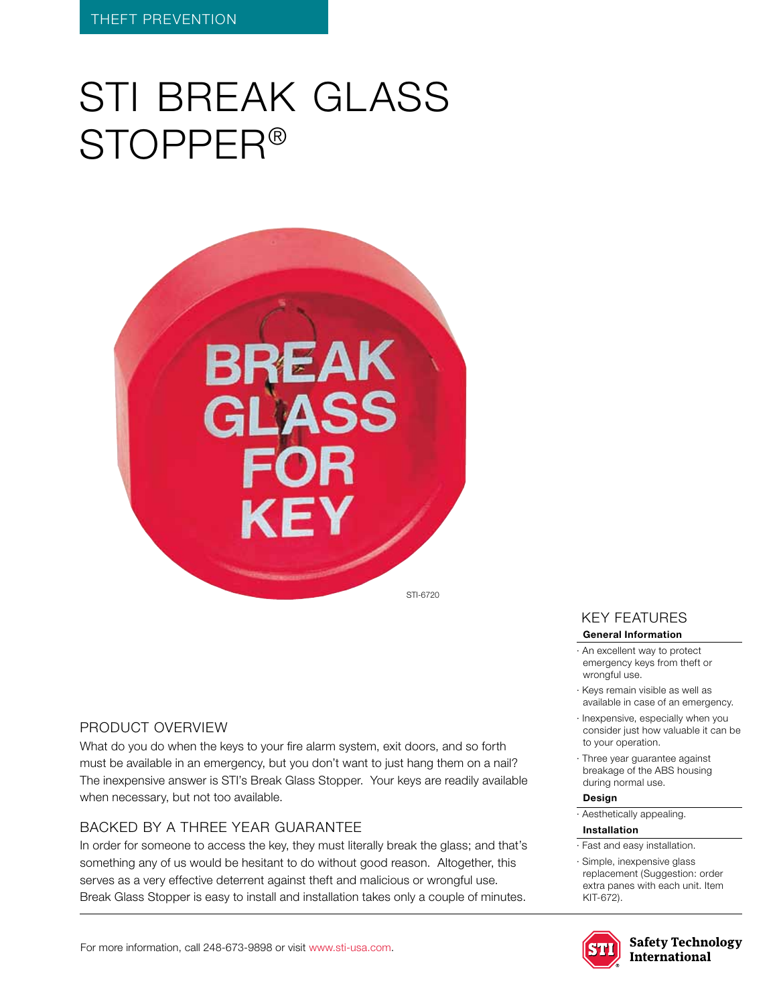# STI BREAK GLASS Stopper®



#### Product Overview

What do you do when the keys to your fire alarm system, exit doors, and so forth must be available in an emergency, but you don't want to just hang them on a nail? The inexpensive answer is STI's Break Glass Stopper. Your keys are readily available when necessary, but not too available.

## BACKED BY A THREE YEAR GUARANTEE

In order for someone to access the key, they must literally break the glass; and that's something any of us would be hesitant to do without good reason. Altogether, this serves as a very effective deterrent against theft and malicious or wrongful use. Break Glass Stopper is easy to install and installation takes only a couple of minutes.

## KEY features

#### **General Information**

- · An excellent way to protect emergency keys from theft or wrongful use.
- · Keys remain visible as well as available in case of an emergency.
- · Inexpensive, especially when you consider just how valuable it can be to your operation.
- · Three year guarantee against breakage of the ABS housing during normal use.

### **Design**

· Aesthetically appealing.

#### **Installation**

- · Fast and easy installation.
- · Simple, inexpensive glass replacement (Suggestion: order extra panes with each unit. Item KIT-672).